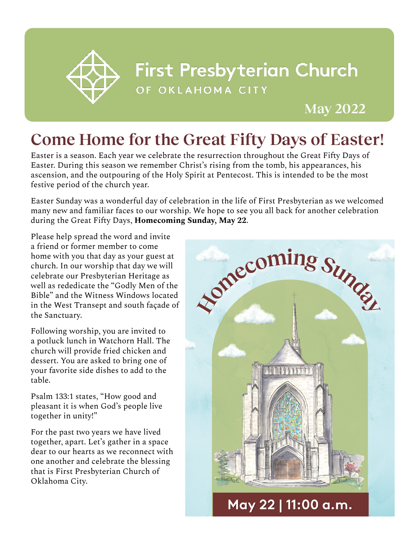

## **First Presbyterian Church** OF OKLAHOMA CITY

**May 2022**

## **Come Home for the Great Fifty Days of Easter!**

Easter is a season. Each year we celebrate the resurrection throughout the Great Fifty Days of Easter. During this season we remember Christ's rising from the tomb, his appearances, his ascension, and the outpouring of the Holy Spirit at Pentecost. This is intended to be the most festive period of the church year.

Easter Sunday was a wonderful day of celebration in the life of First Presbyterian as we welcomed many new and familiar faces to our worship. We hope to see you all back for another celebration during the Great Fifty Days, **Homecoming Sunday, May 22**.

Please help spread the word and invite a friend or former member to come home with you that day as your guest at church. In our worship that day we will celebrate our Presbyterian Heritage as well as rededicate the "Godly Men of the Bible" and the Witness Windows located in the West Transept and south façade of the Sanctuary.

Following worship, you are invited to a potluck lunch in Watchorn Hall. The church will provide fried chicken and dessert. You are asked to bring one of your favorite side dishes to add to the table.

Psalm 133:1 states, "How good and pleasant it is when God's people live together in unity!"

For the past two years we have lived together, apart. Let's gather in a space dear to our hearts as we reconnect with one another and celebrate the blessing that is First Presbyterian Church of Oklahoma City.

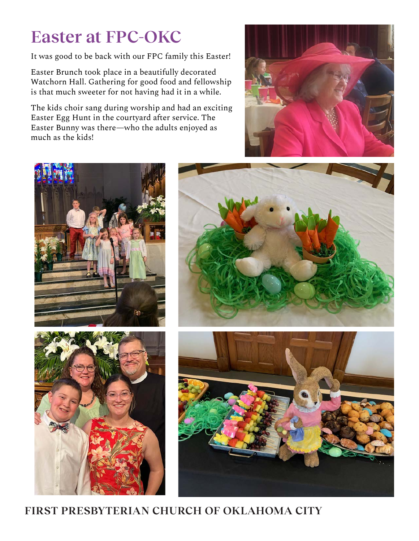# **Easter at FPC-OKC**

It was good to be back with our FPC family this Easter!

Easter Brunch took place in a beautifully decorated Watchorn Hall. Gathering for good food and fellowship is that much sweeter for not having had it in a while.

The kids choir sang during worship and had an exciting Easter Egg Hunt in the courtyard after service. The Easter Bunny was there—who the adults enjoyed as much as the kids!





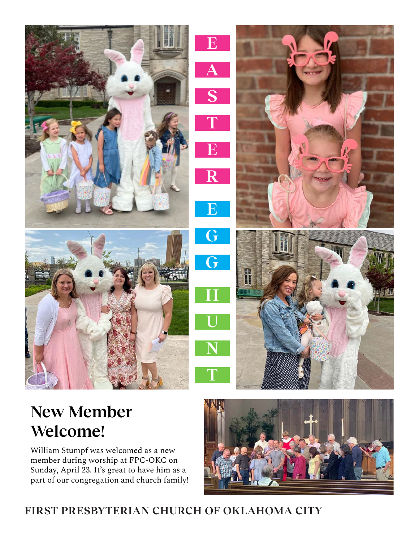![](_page_2_Picture_0.jpeg)

![](_page_2_Picture_1.jpeg)

# **New Member Welcome!**

William Stumpf was welcomed as a new member during worship at FPC-OKC on Sunday, April 23. It's great to have him as a part of our congregation and church family!

![](_page_2_Picture_4.jpeg)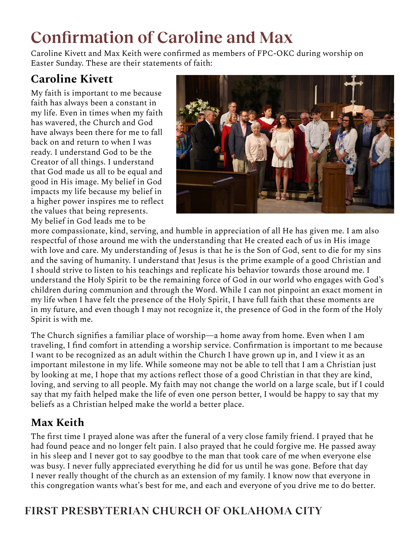# **Confirmation of Caroline and Max**

Caroline Kivett and Max Keith were confirmed as members of FPC-OKC during worship on Easter Sunday. These are their statements of faith:

### **Caroline Kivett**

My faith is important to me because faith has always been a constant in my life. Even in times when my faith has wavered, the Church and God have always been there for me to fall back on and return to when I was ready. I understand God to be the Creator of all things. I understand that God made us all to be equal and good in His image. My belief in God impacts my life because my belief in a higher power inspires me to reflect the values that being represents. My belief in God leads me to be

![](_page_3_Picture_4.jpeg)

more compassionate, kind, serving, and humble in appreciation of all He has given me. I am also respectful of those around me with the understanding that He created each of us in His image with love and care. My understanding of Jesus is that he is the Son of God, sent to die for my sins and the saving of humanity. I understand that Jesus is the prime example of a good Christian and I should strive to listen to his teachings and replicate his behavior towards those around me. I understand the Holy Spirit to be the remaining force of God in our world who engages with God's children during communion and through the Word. While I can not pinpoint an exact moment in my life when I have felt the presence of the Holy Spirit, I have full faith that these moments are in my future, and even though I may not recognize it, the presence of God in the form of the Holy Spirit is with me.

The Church signifies a familiar place of worship—a home away from home. Even when I am traveling, I find comfort in attending a worship service. Confirmation is important to me because I want to be recognized as an adult within the Church I have grown up in, and I view it as an important milestone in my life. While someone may not be able to tell that I am a Christian just by looking at me, I hope that my actions reflect those of a good Christian in that they are kind, loving, and serving to all people. My faith may not change the world on a large scale, but if I could say that my faith helped make the life of even one person better, I would be happy to say that my beliefs as a Christian helped make the world a better place.

#### **Max Keith**

The first time I prayed alone was after the funeral of a very close family friend. I prayed that he had found peace and no longer felt pain. I also prayed that he could forgive me. He passed away in his sleep and I never got to say goodbye to the man that took care of me when everyone else was busy. I never fully appreciated everything he did for us until he was gone. Before that day I never really thought of the church as an extension of my family. I know now that everyone in this congregation wants what's best for me, and each and everyone of you drive me to do better.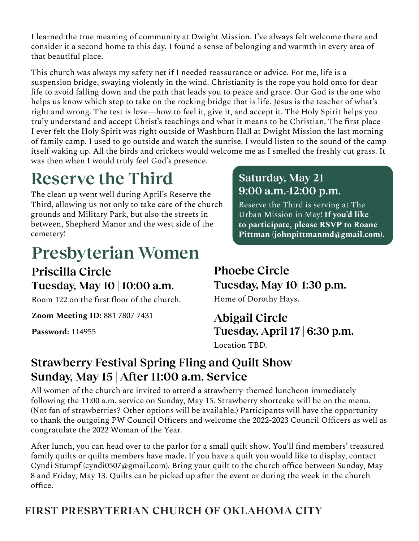I learned the true meaning of community at Dwight Mission. I've always felt welcome there and consider it a second home to this day. I found a sense of belonging and warmth in every area of that beautiful place.

This church was always my safety net if I needed reassurance or advice. For me, life is a suspension bridge, swaying violently in the wind. Christianity is the rope you hold onto for dear life to avoid falling down and the path that leads you to peace and grace. Our God is the one who helps us know which step to take on the rocking bridge that is life. Jesus is the teacher of what's right and wrong. The test is love—how to feel it, give it, and accept it. The Holy Spirit helps you truly understand and accept Christ's teachings and what it means to be Christian. The first place I ever felt the Holy Spirit was right outside of Washburn Hall at Dwight Mission the last morning of family camp. I used to go outside and watch the sunrise. I would listen to the sound of the camp itself waking up. All the birds and crickets would welcome me as I smelled the freshly cut grass. It was then when I would truly feel God's presence.

# **Reserve the Third**

The clean up went well during April's Reserve the Third, allowing us not only to take care of the church grounds and Military Park, but also the streets in between, Shepherd Manor and the west side of the cemetery!

# **Presbyterian Women**

**Priscilla Circle Tuesday, May 10 | 10:00 a.m.** 

Room 122 on the first floor of the church.

**Zoom Meeting ID:** 881 7807 7431

**Password:** 114955

#### **Saturday, May 21 9:00 a.m.-12:00 p.m.**

Reserve the Third is serving at The Urban Mission in May! **If you'd like to participate, please RSVP to Roane Pittman (johnpittmanmd@gmail.com).**

#### **Phoebe Circle Tuesday, May 10| 1:30 p.m.**  Home of Dorothy Hays.

## **Abigail Circle Tuesday, April 17 | 6:30 p.m.**

Location TBD.

#### **Strawberry Festival Spring Fling and Quilt Show Sunday, May 15 | After 11:00 a.m. Service**

All women of the church are invited to attend a strawberry-themed luncheon immediately following the 11:00 a.m. service on Sunday, May 15. Strawberry shortcake will be on the menu. (Not fan of strawberries? Other options will be available.) Participants will have the opportunity to thank the outgoing PW Council Officers and welcome the 2022-2023 Council Officers as well as congratulate the 2022 Woman of the Year.

After lunch, you can head over to the parlor for a small quilt show. You'll find members' treasured family quilts or quilts members have made. If you have a quilt you would like to display, contact Cyndi Stumpf (cyndi0507@gmail.com). Bring your quilt to the church office between Sunday, May 8 and Friday, May 13. Quilts can be picked up after the event or during the week in the church office.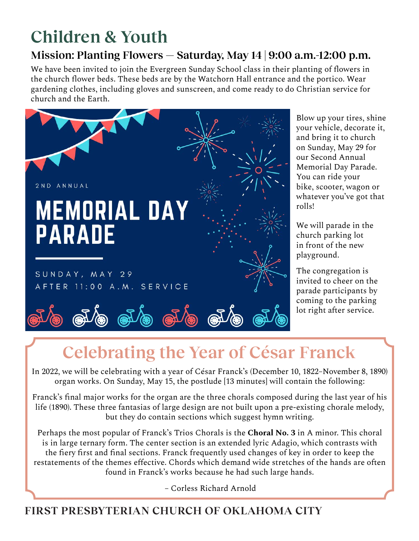# **Children & Youth**

### **Mission: Planting Flowers — Saturday, May 14 | 9:00 a.m.-12:00 p.m.**

We have been invited to join the Evergreen Sunday School class in their planting of flowers in the church flower beds. These beds are by the Watchorn Hall entrance and the portico. Wear gardening clothes, including gloves and sunscreen, and come ready to do Christian service for church and the Earth.

![](_page_5_Picture_3.jpeg)

Blow up your tires, shine your vehicle, decorate it, and bring it to church on Sunday, May 29 for our Second Annual Memorial Day Parade. You can ride your bike, scooter, wagon or whatever you've got that rolls!

We will parade in the church parking lot in front of the new playground.

The congregation is invited to cheer on the parade participants by coming to the parking lot right after service.

# **Celebrating the Year of César Franck**

In 2022, we will be celebrating with a year of César Franck's (December 10, 1822–November 8, 1890) organ works. On Sunday, May 15, the postlude [13 minutes] will contain the following:

Franck's final major works for the organ are the three chorals composed during the last year of his life (1890). These three fantasias of large design are not built upon a pre-existing chorale melody, but they do contain sections which suggest hymn writing.

Perhaps the most popular of Franck's Trios Chorals is the **Choral No. 3** in A minor. This choral is in large ternary form. The center section is an extended lyric Adagio, which contrasts with the fiery first and final sections. Franck frequently used changes of key in order to keep the restatements of the themes effective. Chords which demand wide stretches of the hands are often found in Franck's works because he had such large hands.

– Corless Richard Arnold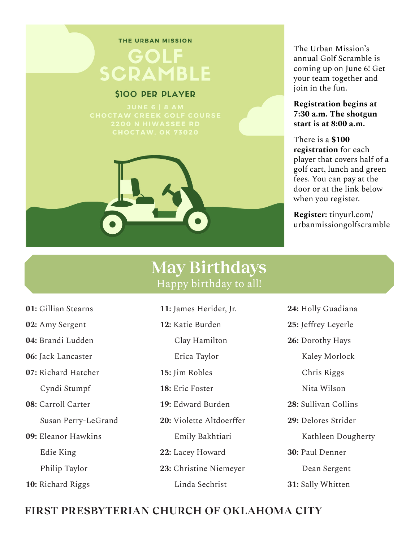#### THE URBAN MISSION

## **GOLF** SCRAMBLE

#### **\$100 PER PLAYER**

![](_page_6_Picture_4.jpeg)

#### The Urban Mission's annual Golf Scramble is coming up on June 6! Get your team together and join in the fun.

**Registration begins at 7:30 a.m. The shotgun start is at 8:00 a.m.** 

There is a **\$100 registration** for each player that covers half of a golf cart, lunch and green fees. You can pay at the door or at the link below when you register.

**Register:** tinyurl.com/ urbanmissiongolfscramble

### **May Birthdays** Happy birthday to all!

- **01:** Gillian Stearns
- **02:** Amy Sergent
- **04:** Brandi Ludden
- **06:** Jack Lancaster
- **07:** Richard Hatcher

Cyndi Stumpf

- **08:** Carroll Carter
	- Susan Perry-LeGrand
- **09:** Eleanor Hawkins

Edie King

Philip Taylor

**10:** Richard Riggs

- **11:** James Herider, Jr.
- **12:** Katie Burden
	- Clay Hamilton
	- Erica Taylor
- **15:** Jim Robles
- **18:** Eric Foster
- **19:** Edward Burden
- **20:** Violette Altdoerffer
	- Emily Bakhtiari
- **22:** Lacey Howard
- **23:** Christine Niemeyer

Linda Sechrist

- **24:** Holly Guadiana
- **25:** Jeffrey Leyerle
- **26:** Dorothy Hays
	- Kaley Morlock
	- Chris Riggs
	- Nita Wilson
- **28:** Sullivan Collins
- **29:** Delores Strider
	- Kathleen Dougherty
- **30:** Paul Denner Dean Sergent
- **31:** Sally Whitten